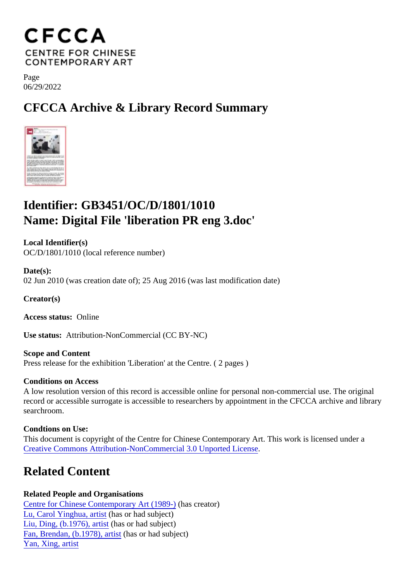Page 06/29/2022

CFCCA Archive & Library Record Summary

## Identifier: GB3451/OC/D/1801/1010 Name: Digital File 'liberation PR eng 3.doc'

Local Identifier(s) OC/D/1801/1010 (local reference number)

Date(s): 02 Jun 2010 (was creation date of); 25 Aug 2016 (was last modification date)

Creator(s)

Access status: Online

Use status: Attribution-NonCommercial (CC BY-NC)

Scope and Content Press release for the exhibition 'Liberation' at the Centre. ( 2 pages )

Conditions on Access

A low resolution version of this record is accessible online for personal non-commercial use. The original record or accessible surrogate is accessible to researchers by appointment in the CFCCA archive and libr searchroom.

Condtions on Use: This document is copyright of the Centre for Chinese Contemporary Art. This work is licensed under a [Creative Commons Attribution-NonCommercial 3.0 Unported Lic](https://creativecommons.org/licenses/by-nc/3.0/)ense .

## Related Content

Related People and Organisations [Centre for Chinese Contemporary Art \(198](/index.php/Detail/entities/2)<sup>0</sup>)as creator) [Lu, Carol Yinghua, artis](/index.php/Detail/entities/651)thas or had subject) [Liu, Ding, \(b.1976\), artis](/index.php/Detail/entities/642)thasor had subject) [Fan, Brendan, \(b.1978\), art](/index.php/Detail/entities/351)istasor had subject) [Yan, Xing, artis](/index.php/Detail/entities/432)t